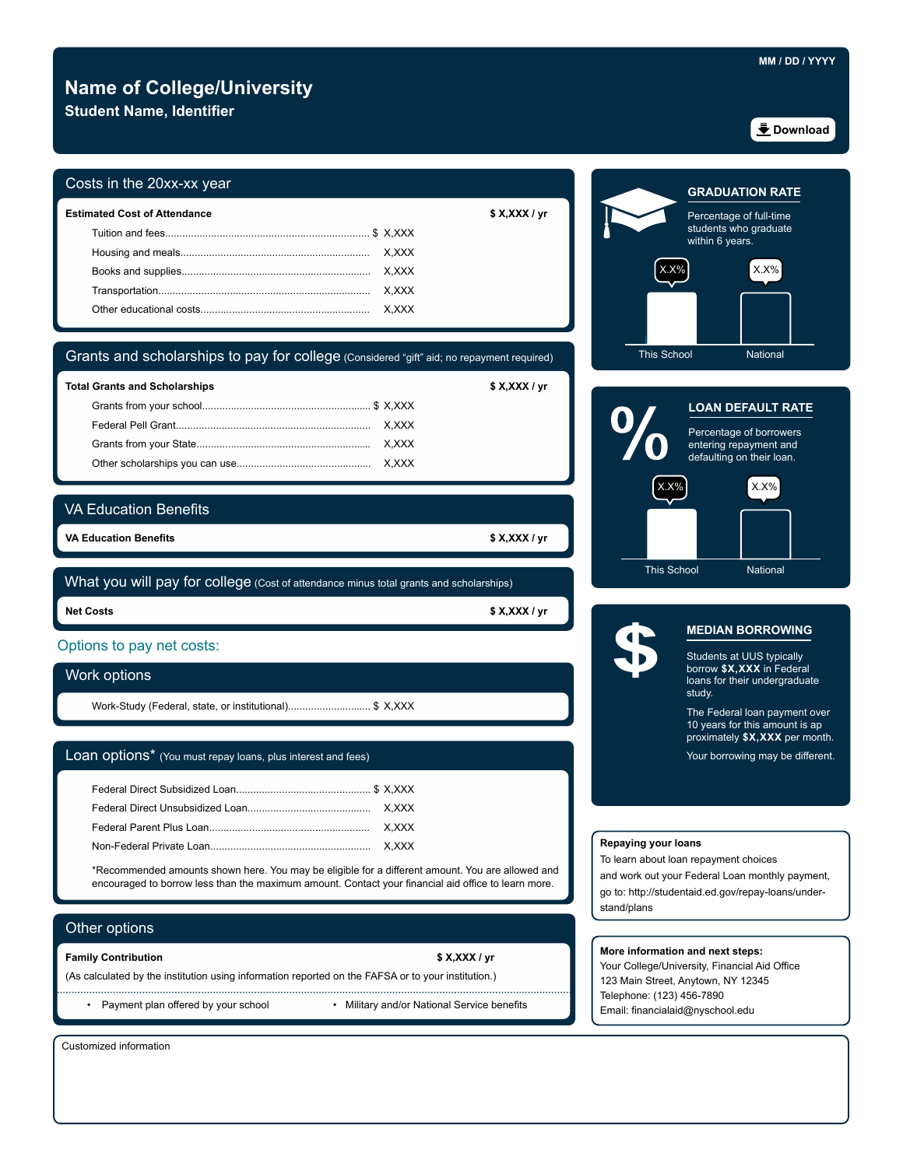# **Name of College/University**

**Student Name, Identifier**

### Costs in the 20xx-xx year

| <b>Estimated Cost of Attendance</b> | \$ X, XXX / yr |
|-------------------------------------|----------------|
|                                     |                |
|                                     |                |
|                                     |                |
|                                     |                |
|                                     | X.XXX          |

# Grants and scholarships to pay for college (Considered "gift" aid; no repayment required)

| <b>Total Grants and Scholarships</b> | \$ X, XXX / yr |
|--------------------------------------|----------------|
|                                      |                |
|                                      |                |
|                                      |                |
|                                      |                |

## VA Education Benefits

 **VA Education Benefits \$ X,XXX / yr**

**Net Costs** What you will pay for college (Cost of attendance minus total grants and scholarships)

**Net Costs \$ X,XXX / yr** 

### Options to pay net costs:

### Work options

Work-Study (Federal, state, or institutional)................................. \$ X,XXX

### Loan options\* (You must repay loans, plus interest and fees)

\*Recommended amounts shown here. You may be eligible for a different amount. You are allowed and encouraged to borrow less than the maximum amount. Contact your financial aid office to learn more.

### Other options

#### **Family Contribution \$ X,XXX / yr**

(As calculated by the institution using information reported on the FAFSA or to your institution.)

- -

• Payment plan offered by your school • Military and/or National Service benefits

Customized information





This School National

### **MEDIAN BORROWING**

Students at UUS typically borrow **\$X,XXX** in Federal loans for their undergraduate study.

10 years for this amount is ap The Federal loan payment over proximately **\$X,XXX** per month.

Your borrowing may be different.

### **Repaying your loans**

To learn about loan repayment choices

and work out your Federal Loan monthly payment, go to: http://studentaid.ed.gov/repay-loans/understand/plans

### **More information and next steps:**

Your College/University, Financial Aid Office 123 Main Street, Anytown, NY 12345 Telephone: (123) 456-7890 Email: financialaid@nyschool.edu

**Download**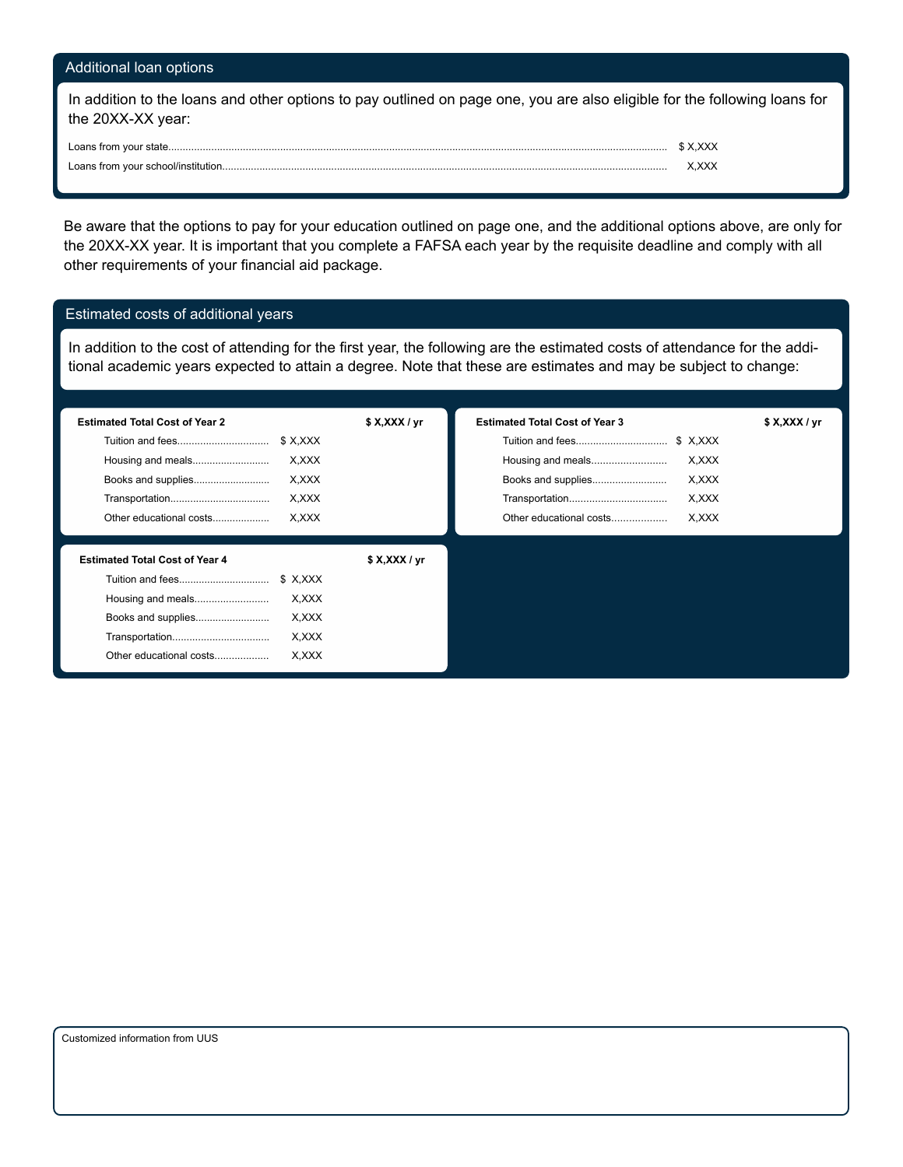# Additional loan options

In addition to the loans and other options to pay outlined on page one, you are also eligible for the following loans for the 20XX-XX year:

| ∟oans from<br>ົ` v∩⊔r stat⊢         |  |
|-------------------------------------|--|
| Loans from your school/institution. |  |

Be aware that the options to pay for your education outlined on page one, and the additional options above, are only for the 20XX-XX year. It is important that you complete a FAFSA each year by the requisite deadline and comply with all other requirements of your financial aid package.

# Estimated costs of additional years

In addition to the cost of attending for the first year, the following are the estimated costs of attendance for the additional academic years expected to attain a degree. Note that these are estimates and may be subject to change:

| <b>Estimated Total Cost of Year 2</b> | \$X, XXX / yr | <b>Estimated Total Cost of Year 3</b> | \$X, XXX / yr |
|---------------------------------------|---------------|---------------------------------------|---------------|
| Tuition and fees<br>\$X,XXX           |               | Tuition and fees<br>\$ X,XXX          |               |
| X.XXX<br>Housing and meals            |               | Housing and meals<br>X.XXX            |               |
| X.XXX<br>Books and supplies           |               | Books and supplies<br>X,XXX           |               |
| X.XXX                                 |               | Transportation<br>X.XXX               |               |
| X.XXX<br>Other educational costs      |               | X.XXX<br>Other educational costs      |               |
|                                       |               |                                       |               |
| <b>Estimated Total Cost of Year 4</b> | \$X, XXX / yr |                                       |               |
| \$ X.XXX                              |               |                                       |               |
| Housing and meals<br>X.XXX            |               |                                       |               |
| Books and supplies<br>X,XXX           |               |                                       |               |
| Transportation<br>X.XXX               |               |                                       |               |
| X.XXX<br>Other educational costs      |               |                                       |               |